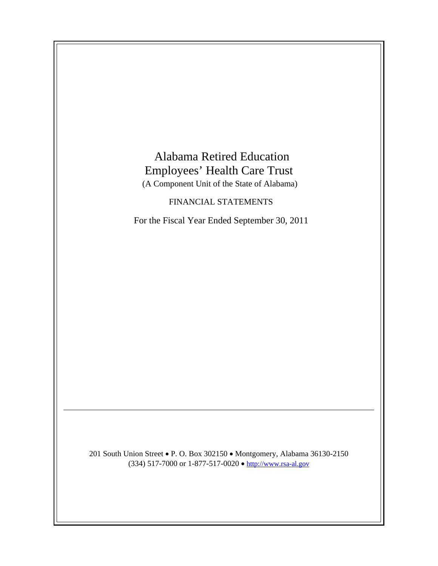# Alabama Retired Education Employees' Health Care Trust (A Component Unit of the State of Alabama) FINANCIAL STATEMENTS For the Fiscal Year Ended September 30, 2011 201 South Union Street . P. O. Box 302150 . Montgomery, Alabama 36130-2150

(334) 517-7000 or 1-877-517-0020 • http://www.rsa-al.gov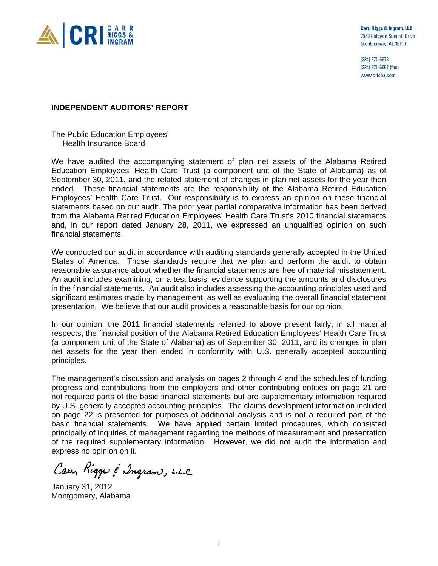

Carr, Riggs & Ingram, LLC 7550 Halcyon Summit Drive Montgomery, AL 36117

(334) 271-6678 (334) 271-6697 (fax) www.cricpa.com

## **INDEPENDENT AUDITORS' REPORT**

The Public Education Employees' Health Insurance Board

We have audited the accompanying statement of plan net assets of the Alabama Retired Education Employees' Health Care Trust (a component unit of the State of Alabama) as of September 30, 2011, and the related statement of changes in plan net assets for the year then ended. These financial statements are the responsibility of the Alabama Retired Education Employees' Health Care Trust. Our responsibility is to express an opinion on these financial statements based on our audit. The prior year partial comparative information has been derived from the Alabama Retired Education Employees' Health Care Trust's 2010 financial statements and, in our report dated January 28, 2011, we expressed an unqualified opinion on such financial statements.

We conducted our audit in accordance with auditing standards generally accepted in the United States of America. Those standards require that we plan and perform the audit to obtain reasonable assurance about whether the financial statements are free of material misstatement. An audit includes examining, on a test basis, evidence supporting the amounts and disclosures in the financial statements. An audit also includes assessing the accounting principles used and significant estimates made by management, as well as evaluating the overall financial statement presentation. We believe that our audit provides a reasonable basis for our opinion.

In our opinion, the 2011 financial statements referred to above present fairly, in all material respects, the financial position of the Alabama Retired Education Employees' Health Care Trust (a component unit of the State of Alabama) as of September 30, 2011, and its changes in plan net assets for the year then ended in conformity with U.S. generally accepted accounting principles.

The management's discussion and analysis on pages 2 through 4 and the schedules of funding progress and contributions from the employers and other contributing entities on page 21 are not required parts of the basic financial statements but are supplementary information required by U.S. generally accepted accounting principles. The claims development information included on page 22 is presented for purposes of additional analysis and is not a required part of the basic financial statements. We have applied certain limited procedures, which consisted principally of inquiries of management regarding the methods of measurement and presentation of the required supplementary information. However, we did not audit the information and express no opinion on it.

Cary Riggs & Ingram, L.L.C.

January 31, 2012 Montgomery, Alabama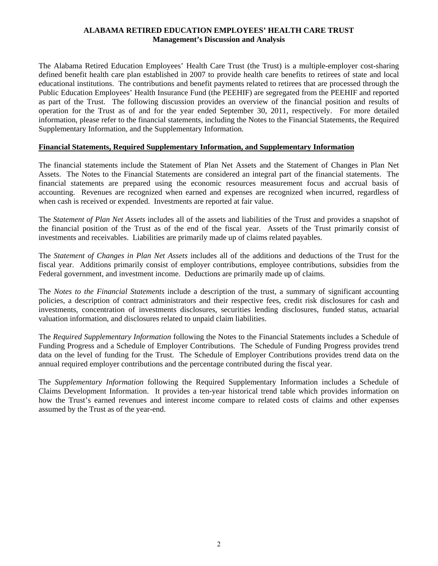## **ALABAMA RETIRED EDUCATION EMPLOYEES' HEALTH CARE TRUST Management's Discussion and Analysis**

The Alabama Retired Education Employees' Health Care Trust (the Trust) is a multiple-employer cost-sharing defined benefit health care plan established in 2007 to provide health care benefits to retirees of state and local educational institutions. The contributions and benefit payments related to retirees that are processed through the Public Education Employees' Health Insurance Fund (the PEEHIF) are segregated from the PEEHIF and reported as part of the Trust. The following discussion provides an overview of the financial position and results of operation for the Trust as of and for the year ended September 30, 2011, respectively. For more detailed information, please refer to the financial statements, including the Notes to the Financial Statements, the Required Supplementary Information, and the Supplementary Information.

## **Financial Statements, Required Supplementary Information, and Supplementary Information**

The financial statements include the Statement of Plan Net Assets and the Statement of Changes in Plan Net Assets. The Notes to the Financial Statements are considered an integral part of the financial statements. The financial statements are prepared using the economic resources measurement focus and accrual basis of accounting. Revenues are recognized when earned and expenses are recognized when incurred, regardless of when cash is received or expended. Investments are reported at fair value.

The *Statement of Plan Net Assets* includes all of the assets and liabilities of the Trust and provides a snapshot of the financial position of the Trust as of the end of the fiscal year. Assets of the Trust primarily consist of investments and receivables. Liabilities are primarily made up of claims related payables.

The *Statement of Changes in Plan Net Assets* includes all of the additions and deductions of the Trust for the fiscal year. Additions primarily consist of employer contributions, employee contributions, subsidies from the Federal government, and investment income. Deductions are primarily made up of claims.

The *Notes to the Financial Statements* include a description of the trust, a summary of significant accounting policies, a description of contract administrators and their respective fees, credit risk disclosures for cash and investments, concentration of investments disclosures, securities lending disclosures, funded status, actuarial valuation information, and disclosures related to unpaid claim liabilities.

The *Required Supplementary Information* following the Notes to the Financial Statements includes a Schedule of Funding Progress and a Schedule of Employer Contributions. The Schedule of Funding Progress provides trend data on the level of funding for the Trust. The Schedule of Employer Contributions provides trend data on the annual required employer contributions and the percentage contributed during the fiscal year.

The *Supplementary Information* following the Required Supplementary Information includes a Schedule of Claims Development Information. It provides a ten-year historical trend table which provides information on how the Trust's earned revenues and interest income compare to related costs of claims and other expenses assumed by the Trust as of the year-end.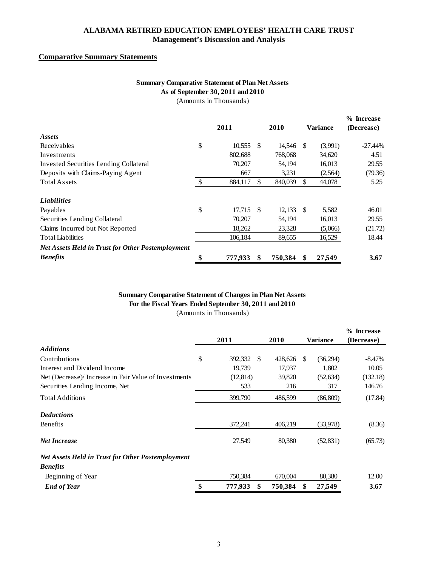## **ALABAMA RETIRED EDUCATION EMPLOYEES' HEALTH CARE TRUST Management's Discussion and Analysis**

## **Comparative Summary Statements**

# **Summary Comparative Statement of Plan Net Assets As of September 30, 2011 and 2010**

|  | (Amounts in Thousands) |  |
|--|------------------------|--|
|  |                        |  |

|                                                          |    | 2011    |     | 2010        | Variance     | % Increase<br>(Decrease) |
|----------------------------------------------------------|----|---------|-----|-------------|--------------|--------------------------|
| Assets                                                   |    |         |     |             |              |                          |
| Receivables                                              | \$ | 10,555  | \$. | 14,546 \$   | (3,991)      | $-27.44\%$               |
| Investments                                              |    | 802,688 |     | 768,068     | 34,620       | 4.51                     |
| Invested Securities Lending Collateral                   |    | 70,207  |     | 54,194      | 16,013       | 29.55                    |
| Deposits with Claims-Paying Agent                        |    | 667     |     | 3,231       | (2,564)      | (79.36)                  |
| <b>Total Assets</b>                                      | -S | 884,117 | \$. | 840,039     | \$<br>44,078 | 5.25                     |
| <b>Liabilities</b>                                       |    |         |     |             |              |                          |
| Payables                                                 | \$ | 17,715  | -\$ | $12,133$ \$ | 5,582        | 46.01                    |
| Securities Lending Collateral                            |    | 70,207  |     | 54,194      | 16,013       | 29.55                    |
| Claims Incurred but Not Reported                         |    | 18,262  |     | 23,328      | (5,066)      | (21.72)                  |
| <b>Total Liabilities</b>                                 |    | 106,184 |     | 89,655      | 16,529       | 18.44                    |
| <b>Net Assets Held in Trust for Other Postemployment</b> |    |         |     |             |              |                          |
| <b>Benefits</b>                                          | ¢  | 777,933 | \$  | 750,384     | 27,549       | 3.67                     |

## (Amounts in Thousands) **Summary Comparative Statement of Changes in Plan Net Assets For the Fiscal Years Ended September 30, 2011 and 2010**

|                                                          | 2011          |     | 2010    |     | <b>Variance</b> | % Increase<br>(Decrease) |
|----------------------------------------------------------|---------------|-----|---------|-----|-----------------|--------------------------|
| <b>Additions</b>                                         |               |     |         |     |                 |                          |
| Contributions                                            | \$<br>392,332 | \$. | 428,626 | \$. | (36,294)        | $-8.47%$                 |
| Interest and Dividend Income                             | 19.739        |     | 17,937  |     | 1.802           | 10.05                    |
| Net (Decrease)/ Increase in Fair Value of Investments    | (12, 814)     |     | 39,820  |     | (52, 634)       | (132.18)                 |
| Securities Lending Income, Net                           | 533           |     | 216     |     | 317             | 146.76                   |
| <b>Total Additions</b>                                   | 399,790       |     | 486,599 |     | (86, 809)       | (17.84)                  |
| <b>Deductions</b>                                        |               |     |         |     |                 |                          |
| Benefits                                                 | 372,241       |     | 406,219 |     | (33,978)        | (8.36)                   |
| <b>Net Increase</b>                                      | 27,549        |     | 80,380  |     | (52, 831)       | (65.73)                  |
| <b>Net Assets Held in Trust for Other Postemployment</b> |               |     |         |     |                 |                          |
| <b>Benefits</b>                                          |               |     |         |     |                 |                          |
| Beginning of Year                                        | 750,384       |     | 670,004 |     | 80,380          | 12.00                    |
| <b>End of Year</b>                                       | \$<br>777,933 | \$  | 750,384 | \$  | 27,549          | 3.67                     |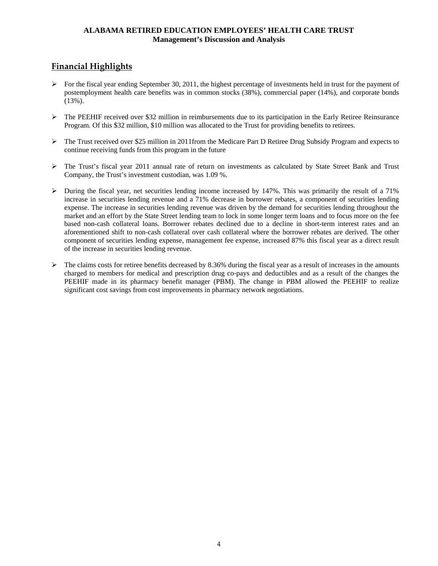## **ALABAMA RETIRED EDUCATION EMPLOYEES' HEALTH CARE TRUST Management's Discussion and Analysis**

# **Financial Highlights**

- $\triangleright$  For the fiscal year ending September 30, 2011, the highest percentage of investments held in trust for the payment of postemployment health care benefits was in common stocks (38%), commercial paper (14%), and corporate bonds (13%).
- $\triangleright$  The PEEHIF received over \$32 million in reimbursements due to its participation in the Early Retiree Reinsurance Program. Of this \$32 million, \$10 million was allocated to the Trust for providing benefits to retirees.
- $\triangleright$  The Trust received over \$25 million in 2011from the Medicare Part D Retiree Drug Subsidy Program and expects to continue receiving funds from this program in the future
- The Trust's fiscal year 2011 annual rate of return on investments as calculated by State Street Bank and Trust Company, the Trust's investment custodian, was 1.09 %.
- $\triangleright$  During the fiscal year, net securities lending income increased by 147%. This was primarily the result of a 71% increase in securities lending revenue and a 71% decrease in borrower rebates, a component of securities lending expense. The increase in securities lending revenue was driven by the demand for securities lending throughout the market and an effort by the State Street lending team to lock in some longer term loans and to focus more on the fee based non-cash collateral loans. Borrower rebates declined due to a decline in short-term interest rates and an aforementioned shift to non-cash collateral over cash collateral where the borrower rebates are derived. The other component of securities lending expense, management fee expense, increased 87% this fiscal year as a direct result of the increase in securities lending revenue.
- $\triangleright$  The claims costs for retiree benefits decreased by 8.36% during the fiscal year as a result of increases in the amounts charged to members for medical and prescription drug co-pays and deductibles and as a result of the changes the PEEHIF made in its pharmacy benefit manager (PBM). The change in PBM allowed the PEEHIF to realize significant cost savings from cost improvements in pharmacy network negotiations.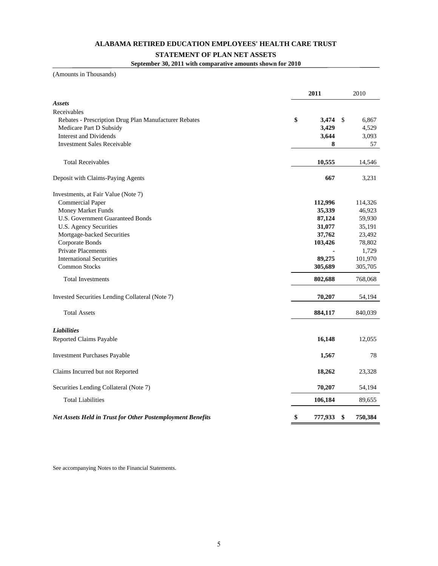#### **ALABAMA RETIRED EDUCATION EMPLOYEES' HEALTH CARE TRUST**

#### **STATEMENT OF PLAN NET ASSETS**

**September 30, 2011 with comparative amounts shown for 2010**

(Amounts in Thousands)

|                                                            | 2011             |    | 2010    |
|------------------------------------------------------------|------------------|----|---------|
| <b>Assets</b>                                              |                  |    |         |
| Receivables                                                |                  |    |         |
| Rebates - Prescription Drug Plan Manufacturer Rebates      | \$<br>$3,474$ \$ |    | 6,867   |
| Medicare Part D Subsidy                                    | 3,429            |    | 4,529   |
| <b>Interest and Dividends</b>                              | 3,644            |    | 3,093   |
| <b>Investment Sales Receivable</b>                         |                  | 8  | 57      |
|                                                            |                  |    |         |
| <b>Total Receivables</b>                                   | 10,555           |    | 14,546  |
| Deposit with Claims-Paying Agents                          | 667              |    | 3,231   |
| Investments, at Fair Value (Note 7)                        |                  |    |         |
| <b>Commercial Paper</b>                                    | 112,996          |    | 114,326 |
| Money Market Funds                                         | 35,339           |    | 46,923  |
| <b>U.S. Government Guaranteed Bonds</b>                    | 87,124           |    | 59,930  |
| U.S. Agency Securities                                     | 31,077           |    | 35,191  |
| Mortgage-backed Securities                                 | 37,762           |    | 23,492  |
| Corporate Bonds                                            | 103,426          |    | 78,802  |
| <b>Private Placements</b>                                  |                  |    | 1,729   |
| <b>International Securities</b>                            | 89,275           |    | 101,970 |
| <b>Common Stocks</b>                                       | 305,689          |    | 305,705 |
| <b>Total Investments</b>                                   | 802,688          |    | 768,068 |
| Invested Securities Lending Collateral (Note 7)            | 70,207           |    | 54,194  |
|                                                            |                  |    |         |
| <b>Total Assets</b>                                        | 884,117          |    | 840,039 |
| <b>Liabilities</b>                                         |                  |    |         |
| Reported Claims Payable                                    | 16,148           |    | 12,055  |
| <b>Investment Purchases Payable</b>                        | 1,567            |    | 78      |
| Claims Incurred but not Reported                           | 18,262           |    | 23,328  |
| Securities Lending Collateral (Note 7)                     | 70,207           |    | 54,194  |
| <b>Total Liabilities</b>                                   | 106,184          |    | 89,655  |
| Net Assets Held in Trust for Other Postemployment Benefits | \$<br>777,933    | \$ | 750,384 |

See accompanying Notes to the Financial Statements.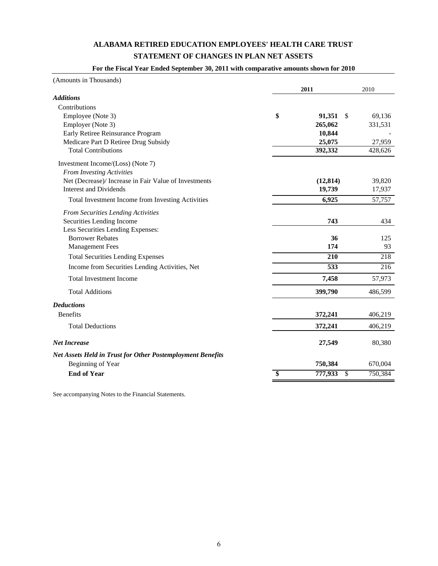# **ALABAMA RETIRED EDUCATION EMPLOYEES' HEALTH CARE TRUST STATEMENT OF CHANGES IN PLAN NET ASSETS**

#### **For the Fiscal Year Ended September 30, 2011 with comparative amounts shown for 2010**

| (Amounts in Thousands)                                            |                 |               |         |
|-------------------------------------------------------------------|-----------------|---------------|---------|
|                                                                   |                 | 2011          | 2010    |
| <b>Additions</b>                                                  |                 |               |         |
| Contributions                                                     |                 |               |         |
| Employee (Note 3)                                                 | \$              | 91,351<br>-\$ | 69,136  |
| Employer (Note 3)                                                 |                 | 265,062       | 331,531 |
| Early Retiree Reinsurance Program                                 |                 | 10,844        |         |
| Medicare Part D Retiree Drug Subsidy                              |                 | 25,075        | 27,959  |
| <b>Total Contributions</b>                                        |                 | 392,332       | 428,626 |
| Investment Income/(Loss) (Note 7)                                 |                 |               |         |
| From Investing Activities                                         |                 |               |         |
| Net (Decrease)/ Increase in Fair Value of Investments             |                 | (12, 814)     | 39,820  |
| <b>Interest and Dividends</b>                                     |                 | 19,739        | 17,937  |
| Total Investment Income from Investing Activities                 |                 | 6,925         | 57,757  |
| <b>From Securities Lending Activities</b>                         |                 |               |         |
| Securities Lending Income                                         |                 | 743           | 434     |
| Less Securities Lending Expenses:                                 |                 |               |         |
| <b>Borrower Rebates</b>                                           |                 | 36            | 125     |
| <b>Management Fees</b>                                            |                 | 174           | 93      |
| <b>Total Securities Lending Expenses</b>                          |                 | 210           | 218     |
| Income from Securities Lending Activities, Net                    |                 | 533           | 216     |
| <b>Total Investment Income</b>                                    |                 | 7,458         | 57,973  |
| <b>Total Additions</b>                                            |                 | 399,790       | 486,599 |
| <b>Deductions</b>                                                 |                 |               |         |
| <b>Benefits</b>                                                   |                 | 372,241       | 406,219 |
| <b>Total Deductions</b>                                           |                 | 372,241       | 406,219 |
| <b>Net Increase</b>                                               |                 | 27,549        | 80,380  |
| <b>Net Assets Held in Trust for Other Postemployment Benefits</b> |                 |               |         |
| Beginning of Year                                                 |                 | 750,384       | 670,004 |
| <b>End of Year</b>                                                | $\overline{\$}$ | 777,933<br>\$ | 750,384 |

See accompanying Notes to the Financial Statements.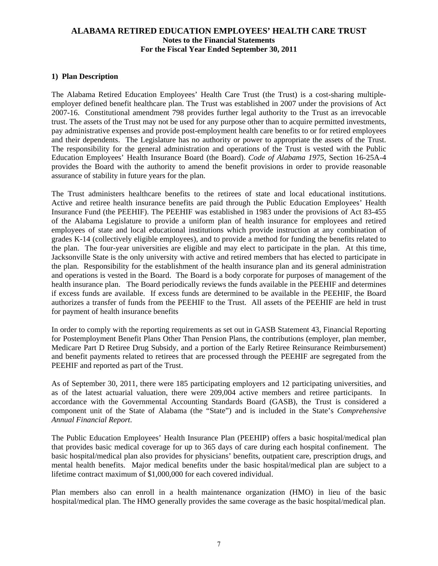## **1) Plan Description**

The Alabama Retired Education Employees' Health Care Trust (the Trust) is a cost-sharing multipleemployer defined benefit healthcare plan. The Trust was established in 2007 under the provisions of Act 2007-16. Constitutional amendment 798 provides further legal authority to the Trust as an irrevocable trust. The assets of the Trust may not be used for any purpose other than to acquire permitted investments, pay administrative expenses and provide post-employment health care benefits to or for retired employees and their dependents. The Legislature has no authority or power to appropriate the assets of the Trust. The responsibility for the general administration and operations of the Trust is vested with the Public Education Employees' Health Insurance Board (the Board). *Code of Alabama 1975*, Section 16-25A-4 provides the Board with the authority to amend the benefit provisions in order to provide reasonable assurance of stability in future years for the plan.

The Trust administers healthcare benefits to the retirees of state and local educational institutions. Active and retiree health insurance benefits are paid through the Public Education Employees' Health Insurance Fund (the PEEHIF). The PEEHIF was established in 1983 under the provisions of Act 83-455 of the Alabama Legislature to provide a uniform plan of health insurance for employees and retired employees of state and local educational institutions which provide instruction at any combination of grades K-14 (collectively eligible employees), and to provide a method for funding the benefits related to the plan. The four-year universities are eligible and may elect to participate in the plan. At this time, Jacksonville State is the only university with active and retired members that has elected to participate in the plan. Responsibility for the establishment of the health insurance plan and its general administration and operations is vested in the Board. The Board is a body corporate for purposes of management of the health insurance plan. The Board periodically reviews the funds available in the PEEHIF and determines if excess funds are available. If excess funds are determined to be available in the PEEHIF, the Board authorizes a transfer of funds from the PEEHIF to the Trust. All assets of the PEEHIF are held in trust for payment of health insurance benefits

In order to comply with the reporting requirements as set out in GASB Statement 43, Financial Reporting for Postemployment Benefit Plans Other Than Pension Plans, the contributions (employer, plan member, Medicare Part D Retiree Drug Subsidy, and a portion of the Early Retiree Reinsurance Reimbursement) and benefit payments related to retirees that are processed through the PEEHIF are segregated from the PEEHIF and reported as part of the Trust.

As of September 30, 2011, there were 185 participating employers and 12 participating universities, and as of the latest actuarial valuation, there were 209,004 active members and retiree participants. In accordance with the Governmental Accounting Standards Board (GASB), the Trust is considered a component unit of the State of Alabama (the "State") and is included in the State's *Comprehensive Annual Financial Report*.

The Public Education Employees' Health Insurance Plan (PEEHIP) offers a basic hospital/medical plan that provides basic medical coverage for up to 365 days of care during each hospital confinement. The basic hospital/medical plan also provides for physicians' benefits, outpatient care, prescription drugs, and mental health benefits. Major medical benefits under the basic hospital/medical plan are subject to a lifetime contract maximum of \$1,000,000 for each covered individual.

Plan members also can enroll in a health maintenance organization (HMO) in lieu of the basic hospital/medical plan. The HMO generally provides the same coverage as the basic hospital/medical plan.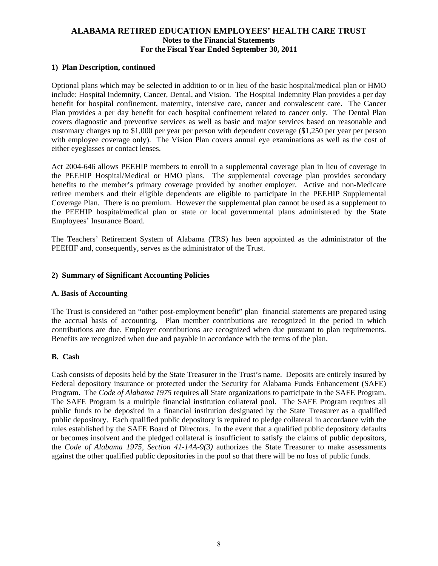## **1) Plan Description, continued**

Optional plans which may be selected in addition to or in lieu of the basic hospital/medical plan or HMO include: Hospital Indemnity, Cancer, Dental, and Vision. The Hospital Indemnity Plan provides a per day benefit for hospital confinement, maternity, intensive care, cancer and convalescent care. The Cancer Plan provides a per day benefit for each hospital confinement related to cancer only. The Dental Plan covers diagnostic and preventive services as well as basic and major services based on reasonable and customary charges up to \$1,000 per year per person with dependent coverage (\$1,250 per year per person with employee coverage only). The Vision Plan covers annual eye examinations as well as the cost of either eyeglasses or contact lenses.

Act 2004-646 allows PEEHIP members to enroll in a supplemental coverage plan in lieu of coverage in the PEEHIP Hospital/Medical or HMO plans. The supplemental coverage plan provides secondary benefits to the member's primary coverage provided by another employer. Active and non-Medicare retiree members and their eligible dependents are eligible to participate in the PEEHIP Supplemental Coverage Plan. There is no premium. However the supplemental plan cannot be used as a supplement to the PEEHIP hospital/medical plan or state or local governmental plans administered by the State Employees' Insurance Board.

The Teachers' Retirement System of Alabama (TRS) has been appointed as the administrator of the PEEHIF and, consequently, serves as the administrator of the Trust.

#### **2) Summary of Significant Accounting Policies**

#### **A. Basis of Accounting**

The Trust is considered an "other post-employment benefit" plan financial statements are prepared using the accrual basis of accounting. Plan member contributions are recognized in the period in which contributions are due. Employer contributions are recognized when due pursuant to plan requirements. Benefits are recognized when due and payable in accordance with the terms of the plan.

#### **B. Cash**

Cash consists of deposits held by the State Treasurer in the Trust's name. Deposits are entirely insured by Federal depository insurance or protected under the Security for Alabama Funds Enhancement (SAFE) Program. The *Code of Alabama 1975* requires all State organizations to participate in the SAFE Program. The SAFE Program is a multiple financial institution collateral pool. The SAFE Program requires all public funds to be deposited in a financial institution designated by the State Treasurer as a qualified public depository. Each qualified public depository is required to pledge collateral in accordance with the rules established by the SAFE Board of Directors. In the event that a qualified public depository defaults or becomes insolvent and the pledged collateral is insufficient to satisfy the claims of public depositors, the *Code of Alabama 1975, Section 41-14A-9(3)* authorizes the State Treasurer to make assessments against the other qualified public depositories in the pool so that there will be no loss of public funds.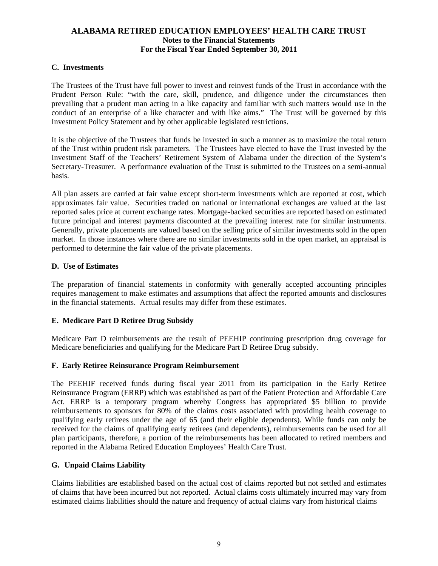## **C. Investments**

The Trustees of the Trust have full power to invest and reinvest funds of the Trust in accordance with the Prudent Person Rule: "with the care, skill, prudence, and diligence under the circumstances then prevailing that a prudent man acting in a like capacity and familiar with such matters would use in the conduct of an enterprise of a like character and with like aims." The Trust will be governed by this Investment Policy Statement and by other applicable legislated restrictions.

It is the objective of the Trustees that funds be invested in such a manner as to maximize the total return of the Trust within prudent risk parameters. The Trustees have elected to have the Trust invested by the Investment Staff of the Teachers' Retirement System of Alabama under the direction of the System's Secretary-Treasurer. A performance evaluation of the Trust is submitted to the Trustees on a semi-annual basis.

All plan assets are carried at fair value except short-term investments which are reported at cost, which approximates fair value. Securities traded on national or international exchanges are valued at the last reported sales price at current exchange rates. Mortgage-backed securities are reported based on estimated future principal and interest payments discounted at the prevailing interest rate for similar instruments. Generally, private placements are valued based on the selling price of similar investments sold in the open market. In those instances where there are no similar investments sold in the open market, an appraisal is performed to determine the fair value of the private placements.

## **D. Use of Estimates**

The preparation of financial statements in conformity with generally accepted accounting principles requires management to make estimates and assumptions that affect the reported amounts and disclosures in the financial statements. Actual results may differ from these estimates.

## **E. Medicare Part D Retiree Drug Subsidy**

Medicare Part D reimbursements are the result of PEEHIP continuing prescription drug coverage for Medicare beneficiaries and qualifying for the Medicare Part D Retiree Drug subsidy.

## **F. Early Retiree Reinsurance Program Reimbursement**

The PEEHIF received funds during fiscal year 2011 from its participation in the Early Retiree Reinsurance Program (ERRP) which was established as part of the Patient Protection and Affordable Care Act. ERRP is a temporary program whereby Congress has appropriated \$5 billion to provide reimbursements to sponsors for 80% of the claims costs associated with providing health coverage to qualifying early retirees under the age of 65 (and their eligible dependents). While funds can only be received for the claims of qualifying early retirees (and dependents), reimbursements can be used for all plan participants, therefore, a portion of the reimbursements has been allocated to retired members and reported in the Alabama Retired Education Employees' Health Care Trust.

## **G. Unpaid Claims Liability**

Claims liabilities are established based on the actual cost of claims reported but not settled and estimates of claims that have been incurred but not reported. Actual claims costs ultimately incurred may vary from estimated claims liabilities should the nature and frequency of actual claims vary from historical claims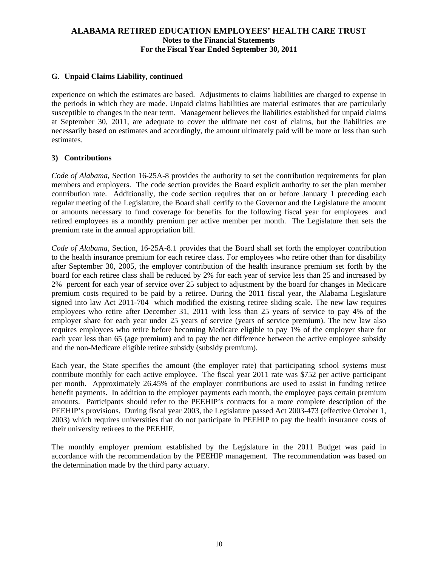## **G. Unpaid Claims Liability, continued**

experience on which the estimates are based. Adjustments to claims liabilities are charged to expense in the periods in which they are made. Unpaid claims liabilities are material estimates that are particularly susceptible to changes in the near term. Management believes the liabilities established for unpaid claims at September 30, 2011, are adequate to cover the ultimate net cost of claims, but the liabilities are necessarily based on estimates and accordingly, the amount ultimately paid will be more or less than such estimates.

## **3) Contributions**

*Code of Alabama*, Section 16-25A-8 provides the authority to set the contribution requirements for plan members and employers. The code section provides the Board explicit authority to set the plan member contribution rate. Additionally, the code section requires that on or before January 1 preceding each regular meeting of the Legislature, the Board shall certify to the Governor and the Legislature the amount or amounts necessary to fund coverage for benefits for the following fiscal year for employees and retired employees as a monthly premium per active member per month. The Legislature then sets the premium rate in the annual appropriation bill.

*Code of Alabama*, Section, 16-25A-8.1 provides that the Board shall set forth the employer contribution to the health insurance premium for each retiree class. For employees who retire other than for disability after September 30, 2005, the employer contribution of the health insurance premium set forth by the board for each retiree class shall be reduced by 2% for each year of service less than 25 and increased by 2% percent for each year of service over 25 subject to adjustment by the board for changes in Medicare premium costs required to be paid by a retiree. During the 2011 fiscal year, the Alabama Legislature signed into law Act 2011-704 which modified the existing retiree sliding scale. The new law requires employees who retire after December 31, 2011 with less than 25 years of service to pay 4% of the employer share for each year under 25 years of service (years of service premium). The new law also requires employees who retire before becoming Medicare eligible to pay 1% of the employer share for each year less than 65 (age premium) and to pay the net difference between the active employee subsidy and the non-Medicare eligible retiree subsidy (subsidy premium).

Each year, the State specifies the amount (the employer rate) that participating school systems must contribute monthly for each active employee. The fiscal year 2011 rate was \$752 per active participant per month. Approximately 26.45% of the employer contributions are used to assist in funding retiree benefit payments. In addition to the employer payments each month, the employee pays certain premium amounts. Participants should refer to the PEEHIP's contracts for a more complete description of the PEEHIP's provisions. During fiscal year 2003, the Legislature passed Act 2003-473 (effective October 1, 2003) which requires universities that do not participate in PEEHIP to pay the health insurance costs of their university retirees to the PEEHIF.

The monthly employer premium established by the Legislature in the 2011 Budget was paid in accordance with the recommendation by the PEEHIP management. The recommendation was based on the determination made by the third party actuary.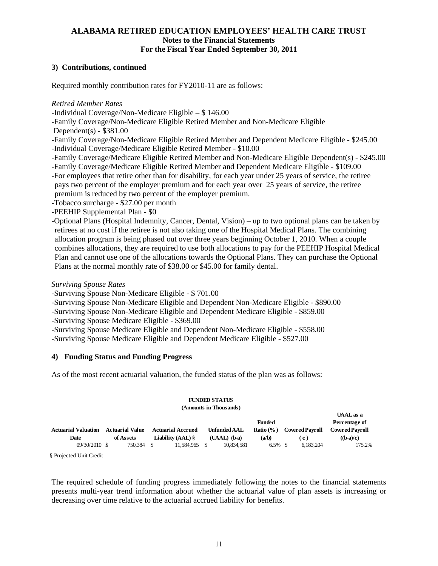## **3) Contributions, continued**

Required monthly contribution rates for FY2010-11 are as follows:

### *Retired Member Rates*

-Individual Coverage/Non-Medicare Eligible – \$ 146.00

-Family Coverage/Non-Medicare Eligible Retired Member and Non-Medicare Eligible

Dependent(s) - \$381.00

-Family Coverage/Non-Medicare Eligible Retired Member and Dependent Medicare Eligible - \$245.00 -Individual Coverage/Medicare Eligible Retired Member - \$10.00

-Family Coverage/Medicare Eligible Retired Member and Non-Medicare Eligible Dependent(s) - \$245.00

-Family Coverage/Medicare Eligible Retired Member and Dependent Medicare Eligible - \$109.00

- -For employees that retire other than for disability, for each year under 25 years of service, the retiree pays two percent of the employer premium and for each year over 25 years of service, the retiree premium is reduced by two percent of the employer premium.
- -Tobacco surcharge \$27.00 per month
- -PEEHIP Supplemental Plan \$0

-Optional Plans (Hospital Indemnity, Cancer, Dental, Vision) – up to two optional plans can be taken by retirees at no cost if the retiree is not also taking one of the Hospital Medical Plans. The combining allocation program is being phased out over three years beginning October 1, 2010. When a couple combines allocations, they are required to use both allocations to pay for the PEEHIP Hospital Medical Plan and cannot use one of the allocations towards the Optional Plans. They can purchase the Optional Plans at the normal monthly rate of \$38.00 or \$45.00 for family dental.

## *Surviving Spouse Rates*

- -Surviving Spouse Non-Medicare Eligible \$ 701.00
- -Surviving Spouse Non-Medicare Eligible and Dependent Non-Medicare Eligible \$890.00
- -Surviving Spouse Non-Medicare Eligible and Dependent Medicare Eligible \$859.00
- -Surviving Spouse Medicare Eligible \$369.00
- -Surviving Spouse Medicare Eligible and Dependent Non-Medicare Eligible \$558.00

-Surviving Spouse Medicare Eligible and Dependent Medicare Eligible - \$527.00

## **4) Funding Status and Funding Progress**

As of the most recent actuarial valuation, the funded status of the plan was as follows:

#### **FUNDED STATUS (Amounts in Thousands)**

|                            |                        |                                       |                     |               |                        | UAAL as a                                   |
|----------------------------|------------------------|---------------------------------------|---------------------|---------------|------------------------|---------------------------------------------|
|                            |                        |                                       |                     | <b>Funded</b> |                        | Percentage of                               |
| <b>Actuarial Valuation</b> | <b>Actuarial Value</b> | <b>Actuarial Accrued</b>              | <b>Unfunded AAL</b> | Ratio (% )    | <b>Covered Pavroll</b> | <b>Covered Pavroll</b>                      |
| Date                       | of Assets              | <b>Liability (AAL) <math>\</math></b> | $(UAAL)$ (b-a)      | (a/b)         | C)                     | $(\mathbf{b}\text{-}\mathbf{a})/\mathbf{c}$ |
| $09/30/2010$ \$            | 750,384                | 11.584.965 \$                         | 10.834.581          | $6.5\%$ \$    | 6.183.204              | 175.2%                                      |
| $0.75 + 1.177 + 0.71$      |                        |                                       |                     |               |                        |                                             |

**UAAL as a** 

§ Projected Unit Credit

The required schedule of funding progress immediately following the notes to the financial statements presents multi-year trend information about whether the actuarial value of plan assets is increasing or decreasing over time relative to the actuarial accrued liability for benefits.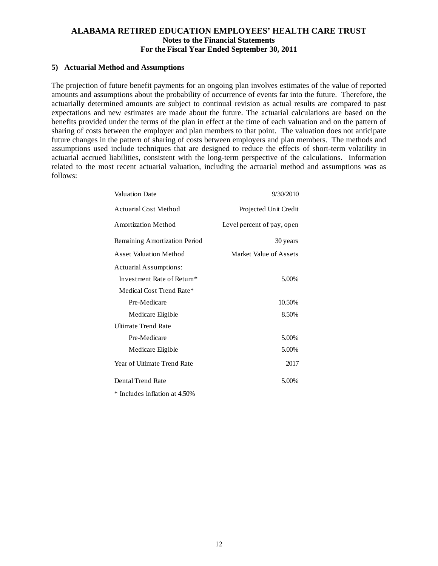#### **5) Actuarial Method and Assumptions**

The projection of future benefit payments for an ongoing plan involves estimates of the value of reported amounts and assumptions about the probability of occurrence of events far into the future. Therefore, the actuarially determined amounts are subject to continual revision as actual results are compared to past expectations and new estimates are made about the future. The actuarial calculations are based on the benefits provided under the terms of the plan in effect at the time of each valuation and on the pattern of sharing of costs between the employer and plan members to that point. The valuation does not anticipate future changes in the pattern of sharing of costs between employers and plan members. The methods and assumptions used include techniques that are designed to reduce the effects of short-term volatility in actuarial accrued liabilities, consistent with the long-term perspective of the calculations. Information related to the most recent actuarial valuation, including the actuarial method and assumptions was as follows:

| <b>Valuation Date</b>         | 9/30/2010                  |
|-------------------------------|----------------------------|
| Actuarial Cost Method         | Projected Unit Credit      |
| <b>Amortization Method</b>    | Level percent of pay, open |
| Remaining Amortization Period | 30 years                   |
| <b>Asset Valuation Method</b> | Market Value of Assets     |
| <b>Actuarial Assumptions:</b> |                            |
| Investment Rate of Return*    | 5.00%                      |
| Medical Cost Trend Rate*      |                            |
| Pre-Medicare                  | 10.50%                     |
| Medicare Eligible             | 8.50%                      |
| <b>Ultimate Trend Rate</b>    |                            |
| Pre-Medicare                  | 5.00%                      |
| Medicare Eligible             | 5.00%                      |
| Year of Ultimate Trend Rate   | 2017                       |
| Dental Trend Rate             | 5.00%                      |
| * Includes inflation at 4.50% |                            |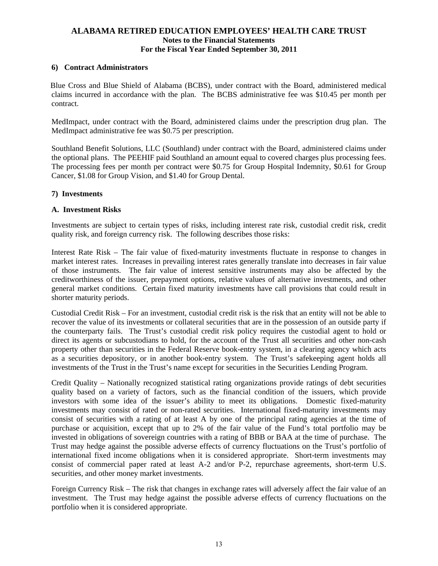#### **6) Contract Administrators**

 Blue Cross and Blue Shield of Alabama (BCBS), under contract with the Board, administered medical claims incurred in accordance with the plan. The BCBS administrative fee was \$10.45 per month per contract.

MedImpact, under contract with the Board, administered claims under the prescription drug plan. The MedImpact administrative fee was \$0.75 per prescription.

Southland Benefit Solutions, LLC (Southland) under contract with the Board, administered claims under the optional plans. The PEEHIF paid Southland an amount equal to covered charges plus processing fees. The processing fees per month per contract were \$0.75 for Group Hospital Indemnity, \$0.61 for Group Cancer, \$1.08 for Group Vision, and \$1.40 for Group Dental.

#### **7) Investments**

#### **A. Investment Risks**

Investments are subject to certain types of risks, including interest rate risk, custodial credit risk, credit quality risk, and foreign currency risk. The following describes those risks:

Interest Rate Risk – The fair value of fixed-maturity investments fluctuate in response to changes in market interest rates. Increases in prevailing interest rates generally translate into decreases in fair value of those instruments. The fair value of interest sensitive instruments may also be affected by the creditworthiness of the issuer, prepayment options, relative values of alternative investments, and other general market conditions. Certain fixed maturity investments have call provisions that could result in shorter maturity periods.

Custodial Credit Risk – For an investment, custodial credit risk is the risk that an entity will not be able to recover the value of its investments or collateral securities that are in the possession of an outside party if the counterparty fails. The Trust's custodial credit risk policy requires the custodial agent to hold or direct its agents or subcustodians to hold, for the account of the Trust all securities and other non-cash property other than securities in the Federal Reserve book-entry system, in a clearing agency which acts as a securities depository, or in another book-entry system. The Trust's safekeeping agent holds all investments of the Trust in the Trust's name except for securities in the Securities Lending Program.

Credit Quality – Nationally recognized statistical rating organizations provide ratings of debt securities quality based on a variety of factors, such as the financial condition of the issuers, which provide investors with some idea of the issuer's ability to meet its obligations. Domestic fixed-maturity investments may consist of rated or non-rated securities. International fixed-maturity investments may consist of securities with a rating of at least A by one of the principal rating agencies at the time of purchase or acquisition, except that up to 2% of the fair value of the Fund's total portfolio may be invested in obligations of sovereign countries with a rating of BBB or BAA at the time of purchase. The Trust may hedge against the possible adverse effects of currency fluctuations on the Trust's portfolio of international fixed income obligations when it is considered appropriate. Short-term investments may consist of commercial paper rated at least A-2 and/or P-2, repurchase agreements, short-term U.S. securities, and other money market investments.

Foreign Currency Risk – The risk that changes in exchange rates will adversely affect the fair value of an investment. The Trust may hedge against the possible adverse effects of currency fluctuations on the portfolio when it is considered appropriate.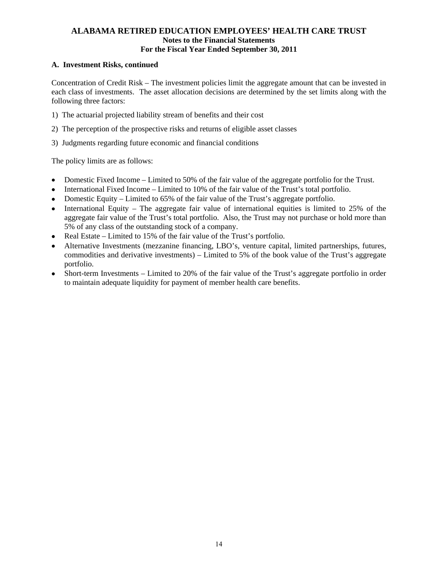## **A. Investment Risks, continued**

Concentration of Credit Risk – The investment policies limit the aggregate amount that can be invested in each class of investments. The asset allocation decisions are determined by the set limits along with the following three factors:

- 1) The actuarial projected liability stream of benefits and their cost
- 2) The perception of the prospective risks and returns of eligible asset classes
- 3) Judgments regarding future economic and financial conditions

The policy limits are as follows:

- Domestic Fixed Income Limited to 50% of the fair value of the aggregate portfolio for the Trust.
- International Fixed Income Limited to 10% of the fair value of the Trust's total portfolio.
- Domestic Equity Limited to 65% of the fair value of the Trust's aggregate portfolio.
- International Equity The aggregate fair value of international equities is limited to  $25\%$  of the aggregate fair value of the Trust's total portfolio. Also, the Trust may not purchase or hold more than 5% of any class of the outstanding stock of a company.
- Real Estate Limited to 15% of the fair value of the Trust's portfolio.
- Alternative Investments (mezzanine financing, LBO's, venture capital, limited partnerships, futures, commodities and derivative investments) – Limited to 5% of the book value of the Trust's aggregate portfolio.
- Short-term Investments Limited to 20% of the fair value of the Trust's aggregate portfolio in order to maintain adequate liquidity for payment of member health care benefits.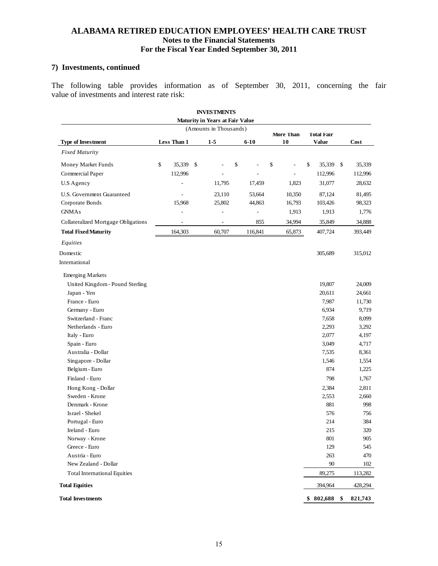## **7) Investments, continued**

The following table provides information as of September 30, 2011, concerning the fair value of investments and interest rate risk:

|                                                          |    |             |  | <b>INVESTMENTS</b> |    |         |    |        |           |           |         |
|----------------------------------------------------------|----|-------------|--|--------------------|----|---------|----|--------|-----------|-----------|---------|
| <b>Maturity in Years at Fair Value</b>                   |    |             |  |                    |    |         |    |        |           |           |         |
| (Amounts in Thousands)<br>More Than<br><b>Total Fair</b> |    |             |  |                    |    |         |    |        |           |           |         |
| <b>Type of Investment</b>                                |    | Less Than 1 |  | $1 - 5$            |    | $6-10$  |    | 10     | Value     |           | Cost    |
| <b>Fixed Maturity</b>                                    |    |             |  |                    |    |         |    |        |           |           |         |
| Money Market Funds                                       | \$ | 35,339 \$   |  |                    | \$ |         | \$ |        | \$        | 35,339 \$ | 35,339  |
| Commercial Paper                                         |    | 112,996     |  |                    |    |         |    |        | 112,996   |           | 112,996 |
| U.S Agency                                               |    |             |  | 11,795             |    | 17,459  |    | 1,823  | 31,077    |           | 28,632  |
| U.S. Government Guaranteed                               |    | Ĭ.          |  | 23,110             |    | 53,664  |    | 10,350 | 87,124    |           | 81,495  |
| Corporate Bonds                                          |    | 15,968      |  | 25,802             |    | 44,863  |    | 16,793 | 103,426   |           | 98,323  |
| <b>GNMAs</b>                                             |    |             |  | ÷,                 |    | ÷,      |    | 1,913  | 1,913     |           | 1,776   |
| Collateralized Mortgage Obligations                      |    |             |  |                    |    | 855     |    | 34,994 | 35,849    |           | 34,888  |
| <b>Total Fixed Maturity</b>                              |    | 164,303     |  | 60,707             |    | 116,841 |    | 65,873 | 407,724   |           | 393,449 |
| Equities                                                 |    |             |  |                    |    |         |    |        |           |           |         |
| Domestic                                                 |    |             |  |                    |    |         |    |        | 305,689   |           | 315,012 |
| International                                            |    |             |  |                    |    |         |    |        |           |           |         |
| <b>Emerging Markets</b>                                  |    |             |  |                    |    |         |    |        |           |           |         |
| United Kingdom - Pound Sterling                          |    |             |  |                    |    |         |    |        | 19,807    |           | 24,009  |
| Japan - Yen                                              |    |             |  |                    |    |         |    |        | 20,611    |           | 24,661  |
| France - Euro                                            |    |             |  |                    |    |         |    |        | 7,987     |           | 11,730  |
| Germany - Euro                                           |    |             |  |                    |    |         |    |        | 6,934     |           | 9,719   |
| Switzerland - Franc                                      |    |             |  |                    |    |         |    |        | 7,658     |           | 8,099   |
| Netherlands - Euro                                       |    |             |  |                    |    |         |    |        | 2,293     |           | 3,292   |
| Italy - Euro                                             |    |             |  |                    |    |         |    |        | 2,077     |           | 4,197   |
| Spain - Euro                                             |    |             |  |                    |    |         |    |        | 3,049     |           | 4,717   |
| Australia - Dollar                                       |    |             |  |                    |    |         |    |        | 7,535     |           | 8,361   |
| Singapore - Dollar                                       |    |             |  |                    |    |         |    |        | 1,546     |           | 1,554   |
| Belgium - Euro                                           |    |             |  |                    |    |         |    |        |           | 874       | 1,225   |
| Finland - Euro                                           |    |             |  |                    |    |         |    |        |           | 798       | 1,767   |
| Hong Kong - Dollar                                       |    |             |  |                    |    |         |    |        | 2,384     |           | 2,811   |
| Sweden - Krone                                           |    |             |  |                    |    |         |    |        | 2,553     |           | 2,660   |
| Denmark - Krone                                          |    |             |  |                    |    |         |    |        |           | 881       | 998     |
| Israel - Shekel                                          |    |             |  |                    |    |         |    |        |           | 576       | 756     |
| Portugal - Euro                                          |    |             |  |                    |    |         |    |        |           | 214       | 384     |
| Ireland - Euro                                           |    |             |  |                    |    |         |    |        |           | 215       | $320\,$ |
| Norway - Krone                                           |    |             |  |                    |    |         |    |        |           | 801       | 905     |
| Greece - Euro                                            |    |             |  |                    |    |         |    |        |           | 129       | 545     |
| Austria - Euro                                           |    |             |  |                    |    |         |    |        |           | 263       | 470     |
| New Zealand - Dollar                                     |    |             |  |                    |    |         |    |        |           | 90        | 102     |
| <b>Total International Equities</b>                      |    |             |  |                    |    |         |    |        | 89,275    |           | 113,282 |
| <b>Total Equities</b>                                    |    |             |  |                    |    |         |    |        | 394,964   |           | 428,294 |
| <b>Total Investments</b>                                 |    |             |  |                    |    |         |    |        | \$802,688 | \$        | 821,743 |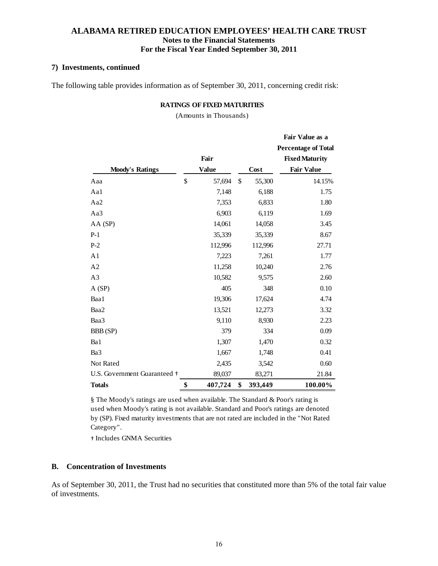#### **7) Investments, continued**

The following table provides information as of September 30, 2011, concerning credit risk:

#### **RATINGS OF FIXED MATURITIES**

(Amounts in Thousands)

|                              |               |               | Fair Value as a            |
|------------------------------|---------------|---------------|----------------------------|
|                              |               |               | <b>Percentage of Total</b> |
|                              | Fair          |               | <b>Fixed Maturity</b>      |
| <b>Moody's Ratings</b>       | <b>Value</b>  | Cost          | <b>Fair Value</b>          |
| Aaa                          | \$<br>57,694  | \$<br>55,300  | 14.15%                     |
| Aa1                          | 7,148         | 6,188         | 1.75                       |
| Aa2                          | 7,353         | 6,833         | 1.80                       |
| Aa3                          | 6,903         | 6,119         | 1.69                       |
| AA (SP)                      | 14,061        | 14,058        | 3.45                       |
| $P-1$                        | 35,339        | 35,339        | 8.67                       |
| $P-2$                        | 112,996       | 112,996       | 27.71                      |
| A <sub>1</sub>               | 7,223         | 7,261         | 1.77                       |
| A2                           | 11,258        | 10,240        | 2.76                       |
| A3                           | 10,582        | 9,575         | 2.60                       |
| A(SP)                        | 405           | 348           | 0.10                       |
| Baa1                         | 19,306        | 17,624        | 4.74                       |
| Baa2                         | 13,521        | 12,273        | 3.32                       |
| Baa3                         | 9,110         | 8,930         | 2.23                       |
| BBB (SP)                     | 379           | 334           | 0.09                       |
| Ba1                          | 1,307         | 1,470         | 0.32                       |
| Ba3                          | 1,667         | 1,748         | 0.41                       |
| Not Rated                    | 2,435         | 3,542         | 0.60                       |
| U.S. Government Guaranteed + | 89,037        | 83,271        | 21.84                      |
| <b>Totals</b>                | \$<br>407,724 | \$<br>393,449 | 100.00%                    |

§ The Moody's ratings are used when available. The Standard & Poor's rating is used when Moody's rating is not available. Standard and Poor's ratings are denoted by (SP). Fixed maturity investments that are not rated are included in the "Not Rated Category".

† Includes GNMA Securities

#### **B. Concentration of Investments**

As of September 30, 2011, the Trust had no securities that constituted more than 5% of the total fair value of investments.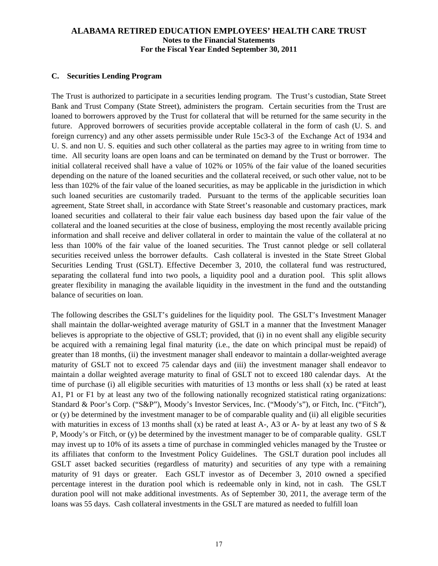### **C. Securities Lending Program**

The Trust is authorized to participate in a securities lending program. The Trust's custodian, State Street Bank and Trust Company (State Street), administers the program. Certain securities from the Trust are loaned to borrowers approved by the Trust for collateral that will be returned for the same security in the future. Approved borrowers of securities provide acceptable collateral in the form of cash (U. S. and foreign currency) and any other assets permissible under Rule 15c3-3 of the Exchange Act of 1934 and U. S. and non U. S. equities and such other collateral as the parties may agree to in writing from time to time. All security loans are open loans and can be terminated on demand by the Trust or borrower. The initial collateral received shall have a value of 102% or 105% of the fair value of the loaned securities depending on the nature of the loaned securities and the collateral received, or such other value, not to be less than 102% of the fair value of the loaned securities, as may be applicable in the jurisdiction in which such loaned securities are customarily traded. Pursuant to the terms of the applicable securities loan agreement, State Street shall, in accordance with State Street's reasonable and customary practices, mark loaned securities and collateral to their fair value each business day based upon the fair value of the collateral and the loaned securities at the close of business, employing the most recently available pricing information and shall receive and deliver collateral in order to maintain the value of the collateral at no less than 100% of the fair value of the loaned securities. The Trust cannot pledge or sell collateral securities received unless the borrower defaults. Cash collateral is invested in the State Street Global Securities Lending Trust (GSLT). Effective December 3, 2010, the collateral fund was restructured, separating the collateral fund into two pools, a liquidity pool and a duration pool. This split allows greater flexibility in managing the available liquidity in the investment in the fund and the outstanding balance of securities on loan.

The following describes the GSLT's guidelines for the liquidity pool. The GSLT's Investment Manager shall maintain the dollar-weighted average maturity of GSLT in a manner that the Investment Manager believes is appropriate to the objective of GSLT; provided, that (i) in no event shall any eligible security be acquired with a remaining legal final maturity (i.e., the date on which principal must be repaid) of greater than 18 months, (ii) the investment manager shall endeavor to maintain a dollar-weighted average maturity of GSLT not to exceed 75 calendar days and (iii) the investment manager shall endeavor to maintain a dollar weighted average maturity to final of GSLT not to exceed 180 calendar days. At the time of purchase (i) all eligible securities with maturities of 13 months or less shall (x) be rated at least A1, P1 or F1 by at least any two of the following nationally recognized statistical rating organizations: Standard & Poor's Corp. ("S&P"), Moody's Investor Services, Inc. ("Moody's"), or Fitch, Inc. ("Fitch"), or (y) be determined by the investment manager to be of comparable quality and (ii) all eligible securities with maturities in excess of 13 months shall (x) be rated at least A-, A3 or A- by at least any two of S  $\&$ P, Moody's or Fitch, or (y) be determined by the investment manager to be of comparable quality. GSLT may invest up to 10% of its assets a time of purchase in commingled vehicles managed by the Trustee or its affiliates that conform to the Investment Policy Guidelines. The GSLT duration pool includes all GSLT asset backed securities (regardless of maturity) and securities of any type with a remaining maturity of 91 days or greater. Each GSLT investor as of December 3, 2010 owned a specified percentage interest in the duration pool which is redeemable only in kind, not in cash. The GSLT duration pool will not make additional investments. As of September 30, 2011, the average term of the loans was 55 days. Cash collateral investments in the GSLT are matured as needed to fulfill loan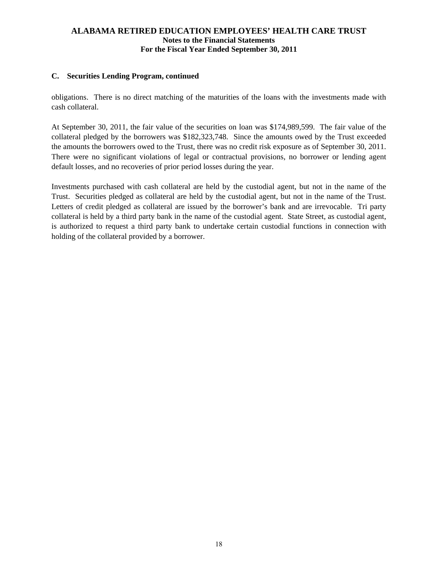## **C. Securities Lending Program, continued**

obligations. There is no direct matching of the maturities of the loans with the investments made with cash collateral.

At September 30, 2011, the fair value of the securities on loan was \$174,989,599. The fair value of the collateral pledged by the borrowers was \$182,323,748. Since the amounts owed by the Trust exceeded the amounts the borrowers owed to the Trust, there was no credit risk exposure as of September 30, 2011. There were no significant violations of legal or contractual provisions, no borrower or lending agent default losses, and no recoveries of prior period losses during the year.

Investments purchased with cash collateral are held by the custodial agent, but not in the name of the Trust. Securities pledged as collateral are held by the custodial agent, but not in the name of the Trust. Letters of credit pledged as collateral are issued by the borrower's bank and are irrevocable. Tri party collateral is held by a third party bank in the name of the custodial agent. State Street, as custodial agent, is authorized to request a third party bank to undertake certain custodial functions in connection with holding of the collateral provided by a borrower.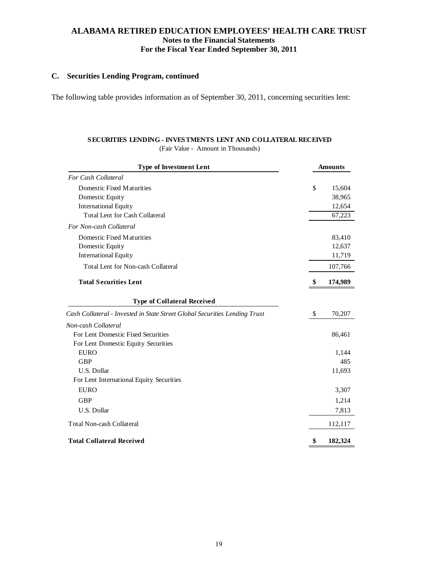## **C. Securities Lending Program, continued**

The following table provides information as of September 30, 2011, concerning securities lent:

## **SECURITIES LENDING - INVESTMENTS LENT AND COLLATERAL RECEIVED**

(Fair Value - Amount in Thousands)

| <b>Type of Investment Lent</b>                                             | <b>Amounts</b> |  |  |  |
|----------------------------------------------------------------------------|----------------|--|--|--|
| For Cash Collateral                                                        |                |  |  |  |
| Domestic Fixed Maturities                                                  | \$<br>15,604   |  |  |  |
| Domestic Equity                                                            | 38,965         |  |  |  |
| <b>International Equity</b>                                                | 12,654         |  |  |  |
| <b>Total Lent for Cash Collateral</b>                                      | 67,223         |  |  |  |
| For Non-cash Collateral                                                    |                |  |  |  |
| Domestic Fixed Maturities                                                  | 83,410         |  |  |  |
| Domestic Equity                                                            | 12,637         |  |  |  |
| <b>International Equity</b>                                                | 11,719         |  |  |  |
| <b>Total Lent for Non-cash Collateral</b>                                  | 107,766        |  |  |  |
| <b>Total Securities Lent</b>                                               | 174,989        |  |  |  |
| <b>Type of Collateral Received</b>                                         |                |  |  |  |
| Cash Collateral - Invested in State Street Global Securities Lending Trust | \$<br>70,207   |  |  |  |
| Non-cash Collateral                                                        |                |  |  |  |
| For Lent Domestic Fixed Securities                                         | 86,461         |  |  |  |
| For Lent Domestic Equity Securities                                        |                |  |  |  |
| <b>EURO</b>                                                                | 1,144          |  |  |  |
| <b>GBP</b>                                                                 | 485            |  |  |  |
| U.S. Dollar                                                                | 11,693         |  |  |  |
| For Lent International Equity Securities                                   |                |  |  |  |
| <b>EURO</b>                                                                | 3,307          |  |  |  |
| <b>GBP</b>                                                                 | 1,214          |  |  |  |
| U.S. Dollar                                                                | 7,813          |  |  |  |
| <b>Total Non-cash Collateral</b>                                           | 112,117        |  |  |  |
| <b>Total Collateral Received</b>                                           | \$<br>182,324  |  |  |  |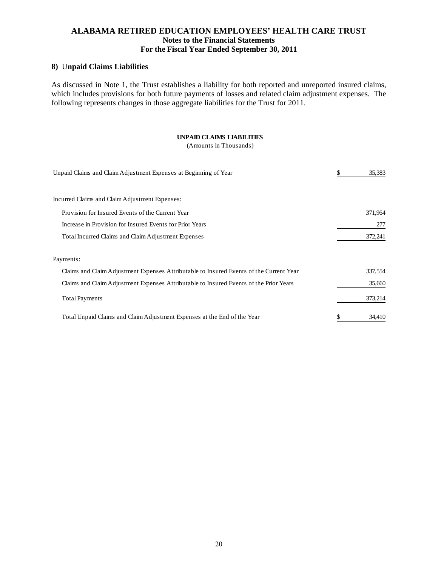### **8)** U**npaid Claims Liabilities**

As discussed in Note 1, the Trust establishes a liability for both reported and unreported insured claims, which includes provisions for both future payments of losses and related claim adjustment expenses. The following represents changes in those aggregate liabilities for the Trust for 2011.

#### **UNPAID CLAIMS LIABILITIES**

(Amounts in Thousands)

| Unpaid Claims and Claim Adjustment Expenses at Beginning of Year                        | \$<br>35,383 |
|-----------------------------------------------------------------------------------------|--------------|
| Incurred Claims and Claim Adjustment Expenses:                                          |              |
| Provision for Insured Events of the Current Year                                        | 371,964      |
| Increase in Provision for Insured Events for Prior Years                                | 277          |
| Total Incurred Claims and Claim Adjustment Expenses                                     | 372,241      |
| Payments:                                                                               |              |
| Claims and Claim Adjustment Expenses Attributable to Insured Events of the Current Year | 337,554      |
| Claims and Claim Adjustment Expenses Attributable to Insured Events of the Prior Years  | 35,660       |
| <b>Total Payments</b>                                                                   | 373,214      |
| Total Unpaid Claims and Claim Adjustment Expenses at the End of the Year                | 34.410       |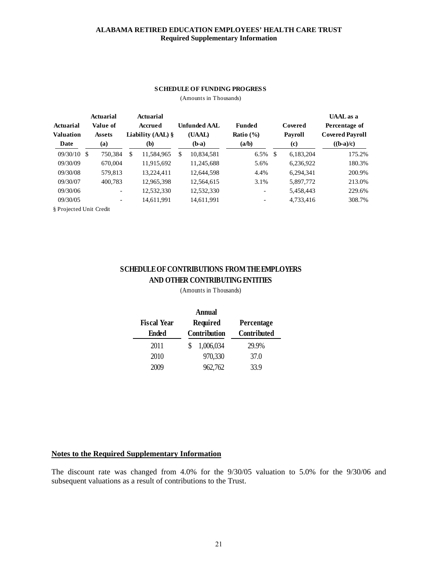## **ALABAMA RETIRED EDUCATION EMPLOYEES' HEALTH CARE TRUST Required Supplementary Information**

#### **SCHEDULE OF FUNDING PROGRESS**

(Amounts in Thousands)

| Actuarial<br><b>Valuation</b><br>Date | <b>Actuarial</b><br>Value of<br><b>Assets</b><br>(a) |         | Actuarial<br>Accrued<br>Liability $(AAL)$ §<br>(b) |            |    | <b>Unfunded AAL</b><br>(UAAL)<br>$(b-a)$ | <b>Funded</b><br>Ratio $(\% )$<br>(a/b) | Covered<br><b>Payroll</b><br>(c) |           | <b>UAAL</b> as a<br>Percentage of<br><b>Covered Payroll</b><br>$((b-a)/c)$ |
|---------------------------------------|------------------------------------------------------|---------|----------------------------------------------------|------------|----|------------------------------------------|-----------------------------------------|----------------------------------|-----------|----------------------------------------------------------------------------|
| 09/30/10                              | -\$                                                  | 750.384 | \$                                                 | 11,584,965 | \$ | 10,834,581                               | 6.5%                                    | -\$                              | 6.183.204 | 175.2%                                                                     |
| 09/30/09                              |                                                      | 670,004 |                                                    | 11,915,692 |    | 11,245,688                               | 5.6%                                    |                                  | 6,236,922 | 180.3%                                                                     |
| 09/30/08                              |                                                      | 579,813 |                                                    | 13.224.411 |    | 12,644,598                               | 4.4%                                    |                                  | 6.294.341 | 200.9%                                                                     |
| 09/30/07                              |                                                      | 400.783 |                                                    | 12,965,398 |    | 12,564,615                               | 3.1%                                    |                                  | 5,897,772 | 213.0%                                                                     |
| 09/30/06                              |                                                      | -       |                                                    | 12,532,330 |    | 12,532,330                               | $\overline{\phantom{a}}$                |                                  | 5,458,443 | 229.6%                                                                     |
| 09/30/05                              |                                                      | -       |                                                    | 14,611,991 |    | 14,611,991                               | -                                       |                                  | 4,733,416 | 308.7%                                                                     |
| § Projected Unit Credit               |                                                      |         |                                                    |            |    |                                          |                                         |                                  |           |                                                                            |

## **SCHEDULE OF CONTRIBUTIONS FROM THE EMPLOYERS AND OTHER CONTRIBUTING ENTITIES**

(Amounts in Thousands)

| Annual             |              |                           |  |  |  |  |  |
|--------------------|--------------|---------------------------|--|--|--|--|--|
| <b>Fiscal Year</b> | Required     | Percentage<br>Contributed |  |  |  |  |  |
| Ended              | Contribution |                           |  |  |  |  |  |
| 2011               | 1,006,034    | 29.9%                     |  |  |  |  |  |
| 2010               | 970,330      | 37.0                      |  |  |  |  |  |
| 2009               | 962,762      | 33.9                      |  |  |  |  |  |

## **Notes to the Required Supplementary Information**

The discount rate was changed from 4.0% for the 9/30/05 valuation to 5.0% for the 9/30/06 and subsequent valuations as a result of contributions to the Trust.